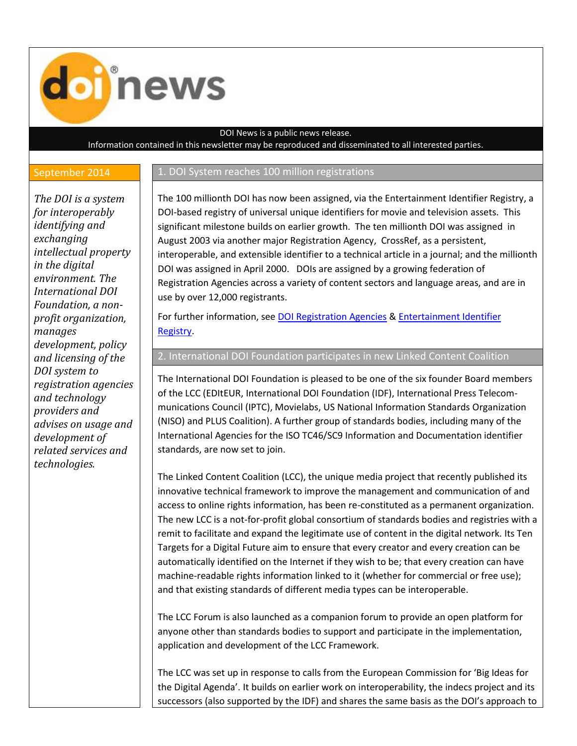

## DOI News is a public news release.

Information contained in this newsletter may be reproduced and disseminated to all interested parties.

## September 2014 1. DOI System reaches 100 million registrations

*The DOI is a system for interoperably identifying and exchanging intellectual property in the digital environment. The International DOI Foundation, a nonprofit organization, manages development, policy and licensing of the DOI system to registration agencies and technology providers and advises on usage and development of related services and technologies.*

The 100 millionth DOI has now been assigned, via the Entertainment Identifier Registry, a DOI-based registry of universal unique identifiers for movie and television assets. This significant milestone builds on earlier growth. The ten millionth DOI was assigned in August 2003 via another major Registration Agency, CrossRef, as a persistent, interoperable, and extensible identifier to a technical article in a journal; and the millionth DOI was assigned in April 2000. DOIs are assigned by a growing federation of Registration Agencies across a variety of content sectors and language areas, and are in use by over 12,000 registrants.

For further information, see [DOI Registration Agencies](http://www.doi.org/registration_agencies.html) & [Entertainment Identifier](http://www.eider.org/)  [Registry.](http://www.eider.org/)

2. International DOI Foundation participates in new Linked Content Coalition

The International DOI Foundation is pleased to be one of the six founder Board members of the LCC (EDItEUR, International DOI Foundation (IDF), International Press Telecommunications Council (IPTC), Movielabs, US National Information Standards Organization (NISO) and PLUS Coalition). A further group of standards bodies, including many of the International Agencies for the ISO TC46/SC9 Information and Documentation identifier standards, are now set to join.

The Linked Content Coalition (LCC), the unique media project that recently published its innovative technical framework to improve the management and communication of and access to online rights information, has been re-constituted as a permanent organization. The new LCC is a not-for-profit global consortium of standards bodies and registries with a remit to facilitate and expand the legitimate use of content in the digital network. Its Ten Targets for a Digital Future aim to ensure that every creator and every creation can be automatically identified on the Internet if they wish to be; that every creation can have machine-readable rights information linked to it (whether for commercial or free use); and that existing standards of different media types can be interoperable.

The LCC Forum is also launched as a companion forum to provide an open platform for anyone other than standards bodies to support and participate in the implementation, application and development of the LCC Framework.

The LCC was set up in response to calls from the European Commission for 'Big Ideas for the Digital Agenda'. It builds on earlier work on interoperability, the indecs project and its successors (also supported by the IDF) and shares the same basis as the DOI's approach to